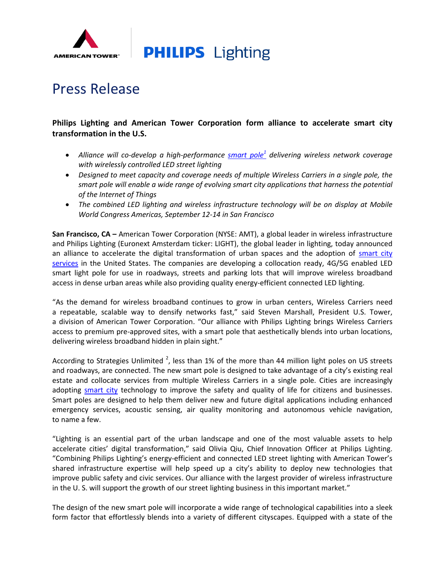

**PHILIPS** Lighting

## Press Release

## **Philips Lighting and American Tower Corporation form alliance to accelerate smart city transformation in the U.S.**

- *Alliance will co-develop a high-performance [smart](http://www.americantower.com/smartpoles) pole<sup>1</sup> delivering wireless network coverage with wirelessly controlled LED street lighting*
- *Designed to meet capacity and coverage needs of multiple Wireless Carriers in a single pole, the smart pole will enable a wide range of evolving smart city applications that harness the potential of the Internet of Things*
- *The combined LED lighting and wireless infrastructure technology will be on display at Mobile World Congress Americas, September 12-14 in San Francisco*

**San Francisco, CA –** American Tower Corporation (NYSE: AMT), a global leader in wireless infrastructure and Philips Lighting (Euronext Amsterdam ticker: LIGHT), the global leader in lighting, today announced an alliance to accelerate the digital transformation of urban spaces and the adoption of [smart city](http://www.lighting.philips.com/main/systems/connected-lighting/connected-lighting-for-smart-cities/smart-cities-initiative#smart_cities_initiatives)  [services](http://www.lighting.philips.com/main/systems/connected-lighting/connected-lighting-for-smart-cities/smart-cities-initiative#smart_cities_initiatives) in the United States. The companies are developing a collocation ready, 4G/5G enabled LED smart light pole for use in roadways, streets and parking lots that will improve wireless broadband access in dense urban areas while also providing quality energy-efficient connected LED lighting.

"As the demand for wireless broadband continues to grow in urban centers, Wireless Carriers need a repeatable, scalable way to densify networks fast," said Steven Marshall, President U.S. Tower, a division of American Tower Corporation. "Our alliance with Philips Lighting brings Wireless Carriers access to premium pre-approved sites, with a smart pole that aesthetically blends into urban locations, delivering wireless broadband hidden in plain sight."

According to Strategies Unlimited  $^2$ , less than 1% of the more than 44 million light poles on US streets and roadways, are connected. The new smart pole is designed to take advantage of a city's existing real estate and collocate services from multiple Wireless Carriers in a single pole. Cities are increasingly adopting [smart city](http://www.lighting.philips.com/main/systems/connected-lighting/connected-lighting-for-smart-cities/smart-cities-initiative) technology to improve the safety and quality of life for citizens and businesses. Smart poles are designed to help them deliver new and future digital applications including enhanced emergency services, acoustic sensing, air quality monitoring and autonomous vehicle navigation, to name a few.

"Lighting is an essential part of the urban landscape and one of the most valuable assets to help accelerate cities' digital transformation," said Olivia Qiu, Chief Innovation Officer at Philips Lighting. "Combining Philips Lighting's energy-efficient and connected LED street lighting with American Tower's shared infrastructure expertise will help speed up a city's ability to deploy new technologies that improve public safety and civic services. Our alliance with the largest provider of wireless infrastructure in the U. S. will support the growth of our street lighting business in this important market."

The design of the new smart pole will incorporate a wide range of technological capabilities into a sleek form factor that effortlessly blends into a variety of different cityscapes. Equipped with a state of the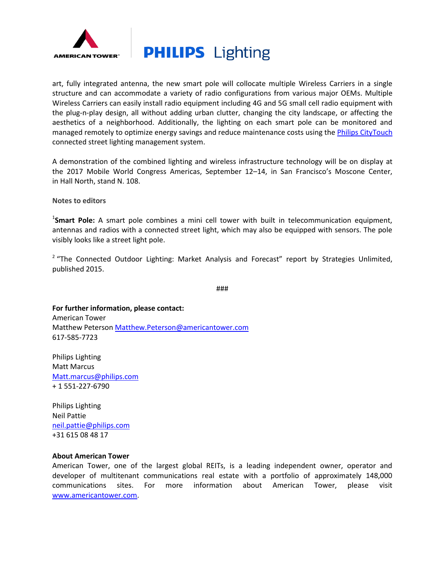



art, fully integrated antenna, the new smart pole will collocate multiple Wireless Carriers in a single structure and can accommodate a variety of radio configurations from various major OEMs. Multiple Wireless Carriers can easily install radio equipment including 4G and 5G small cell radio equipment with the plug-n-play design, all without adding urban clutter, changing the city landscape, or affecting the aesthetics of a neighborhood. Additionally, the lighting on each smart pole can be monitored and managed remotely to optimize energy savings and reduce maintenance costs using the [Philips CityTouch](http://www.lighting.philips.com/main/systems/connected-lighting/citytouch) connected street lighting management system.

A demonstration of the combined lighting and wireless infrastructure technology will be on display at the 2017 Mobile World Congress Americas, September 12–14, in San Francisco's Moscone Center, in Hall North, stand N. 108.

**Notes to editors**

1 **Smart Pole:** A smart pole combines a mini cell tower with built in telecommunication equipment, antennas and radios with a connected street light, which may also be equipped with sensors. The pole visibly looks like a street light pole.

<sup>2</sup> "The Connected Outdoor Lighting: Market Analysis and Forecast" report by Strategies Unlimited, published 2015.

###

**For further information, please contact:** American Tower Matthew Peterson [Matthew.Peterson@americantower.com](mailto:Matthew.Peterson@americantower.com) 617-585-7723

Philips Lighting Matt Marcus [Matt.marcus@philips.com](mailto:Matt.marcus@philips.com) + 1 551-227-6790

Philips Lighting Neil Pattie [neil.pattie@philips.com](mailto:neil.pattie@philips.com) +31 615 08 48 17

## **About American Tower**

American Tower, one of the largest global REITs, is a leading independent owner, operator and developer of multitenant communications real estate with a portfolio of approximately 148,000 communications sites. For more information about American Tower, please visit [www.americantower.com.](http://www.americantower.com/)